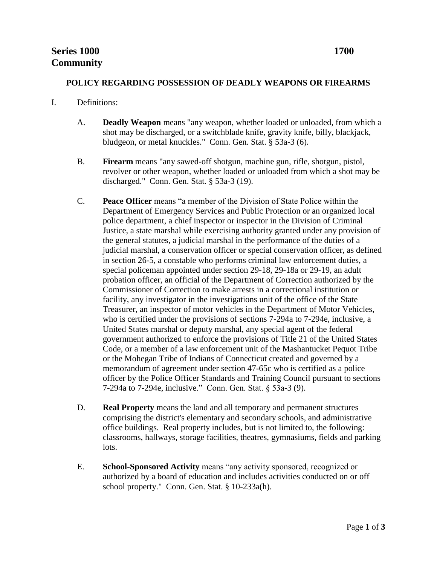### **POLICY REGARDING POSSESSION OF DEADLY WEAPONS OR FIREARMS**

#### I. Definitions:

- A. **Deadly Weapon** means "any weapon, whether loaded or unloaded, from which a shot may be discharged, or a switchblade knife, gravity knife, billy, blackjack, bludgeon, or metal knuckles." Conn. Gen. Stat. § 53a-3 (6).
- B. **Firearm** means "any sawed-off shotgun, machine gun, rifle, shotgun, pistol, revolver or other weapon, whether loaded or unloaded from which a shot may be discharged." Conn. Gen. Stat. § 53a-3 (19).
- C. **Peace Officer** means "a member of the Division of State Police within the Department of Emergency Services and Public Protection or an organized local police department, a chief inspector or inspector in the Division of Criminal Justice, a state marshal while exercising authority granted under any provision of the general statutes, a judicial marshal in the performance of the duties of a judicial marshal, a conservation officer or special conservation officer, as defined in section 26-5, a constable who performs criminal law enforcement duties, a special policeman appointed under section 29-18, 29-18a or 29-19, an adult probation officer, an official of the Department of Correction authorized by the Commissioner of Correction to make arrests in a correctional institution or facility, any investigator in the investigations unit of the office of the State Treasurer, an inspector of motor vehicles in the Department of Motor Vehicles, who is certified under the provisions of sections 7-294a to 7-294e, inclusive, a United States marshal or deputy marshal, any special agent of the federal government authorized to enforce the provisions of Title 21 of the United States Code, or a member of a law enforcement unit of the Mashantucket Pequot Tribe or the Mohegan Tribe of Indians of Connecticut created and governed by a memorandum of agreement under section 47-65c who is certified as a police officer by the Police Officer Standards and Training Council pursuant to sections 7-294a to 7-294e, inclusive." Conn. Gen. Stat. § 53a-3 (9).
- D. **Real Property** means the land and all temporary and permanent structures comprising the district's elementary and secondary schools, and administrative office buildings. Real property includes, but is not limited to, the following: classrooms, hallways, storage facilities, theatres, gymnasiums, fields and parking lots.
- E. **School-Sponsored Activity** means "any activity sponsored, recognized or authorized by a board of education and includes activities conducted on or off school property." Conn. Gen. Stat. § 10-233a(h).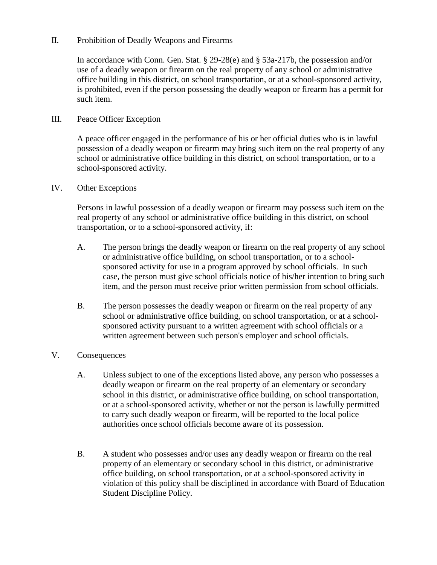# II. Prohibition of Deadly Weapons and Firearms

In accordance with Conn. Gen. Stat. § 29-28(e) and § 53a-217b, the possession and/or use of a deadly weapon or firearm on the real property of any school or administrative office building in this district, on school transportation, or at a school-sponsored activity, is prohibited, even if the person possessing the deadly weapon or firearm has a permit for such item.

# III. Peace Officer Exception

A peace officer engaged in the performance of his or her official duties who is in lawful possession of a deadly weapon or firearm may bring such item on the real property of any school or administrative office building in this district, on school transportation, or to a school-sponsored activity.

### IV. Other Exceptions

Persons in lawful possession of a deadly weapon or firearm may possess such item on the real property of any school or administrative office building in this district, on school transportation, or to a school-sponsored activity, if:

- A. The person brings the deadly weapon or firearm on the real property of any school or administrative office building, on school transportation, or to a schoolsponsored activity for use in a program approved by school officials. In such case, the person must give school officials notice of his/her intention to bring such item, and the person must receive prior written permission from school officials.
- B. The person possesses the deadly weapon or firearm on the real property of any school or administrative office building, on school transportation, or at a schoolsponsored activity pursuant to a written agreement with school officials or a written agreement between such person's employer and school officials.

# V. Consequences

- A. Unless subject to one of the exceptions listed above, any person who possesses a deadly weapon or firearm on the real property of an elementary or secondary school in this district, or administrative office building, on school transportation, or at a school-sponsored activity, whether or not the person is lawfully permitted to carry such deadly weapon or firearm, will be reported to the local police authorities once school officials become aware of its possession.
- B. A student who possesses and/or uses any deadly weapon or firearm on the real property of an elementary or secondary school in this district, or administrative office building, on school transportation, or at a school-sponsored activity in violation of this policy shall be disciplined in accordance with Board of Education Student Discipline Policy.